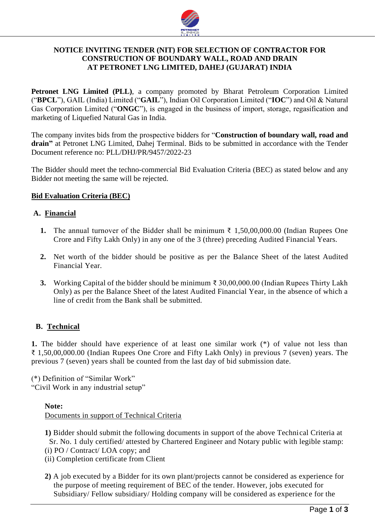

# **NOTICE INVITING TENDER (NIT) FOR SELECTION OF CONTRACTOR FOR CONSTRUCTION OF BOUNDARY WALL, ROAD AND DRAIN AT PETRONET LNG LIMITED, DAHEJ (GUJARAT) INDIA**

**Petronet LNG Limited (PLL)**, a company promoted by Bharat Petroleum Corporation Limited ("**BPCL**"), GAIL (India) Limited ("**GAIL**"), Indian Oil Corporation Limited ("**IOC**") and Oil & Natural Gas Corporation Limited ("ONGC"), is engaged in the business of import, storage, regasification and marketing of Liquefied Natural Gas in India.

The company invites bids from the prospective bidders for "**Construction of boundary wall, road and drain"** at Petronet LNG Limited, Dahej Terminal. Bids to be submitted in accordance with the Tender Document reference no: PLL/DHJ/PR/9457/2022-23

The Bidder should meet the techno-commercial Bid Evaluation Criteria (BEC) as stated below and any Bidder not meeting the same will be rejected.

# **Bid Evaluation Criteria (BEC)**

### **A. Financial**

- **1.** The annual turnover of the Bidder shall be minimum ₹ 1,50,00,000.00 (Indian Rupees One Crore and Fifty Lakh Only) in any one of the 3 (three) preceding Audited Financial Years.
- **2.** Net worth of the bidder should be positive as per the Balance Sheet of the latest Audited Financial Year.
- **3.** Working Capital of the bidder should be minimum ₹ 30,00,000.00 (Indian Rupees Thirty Lakh Only) as per the Balance Sheet of the latest Audited Financial Year, in the absence of which a line of credit from the Bank shall be submitted.

# **B. Technical**

**1.** The bidder should have experience of at least one similar work  $(*)$  of value not less than ₹ 1,50,00,000.00 (Indian Rupees One Crore and Fifty Lakh Only) in previous 7 (seven) years. The previous 7 (seven) years shall be counted from the last day of bid submission date.

(\*) Definition of "Similar Work" "Civil Work in any industrial setup"

### **Note:**

# Documents in support of Technical Criteria

**1)** Bidder should submit the following documents in support of the above Technical Criteria at Sr. No. 1 duly certified/ attested by Chartered Engineer and Notary public with legible stamp: (i) PO / Contract/ LOA copy; and

- (ii) Completion certificate from Client
- **2)** A job executed by a Bidder for its own plant/projects cannot be considered as experience for the purpose of meeting requirement of BEC of the tender. However, jobs executed for Subsidiary/ Fellow subsidiary/ Holding company will be considered as experience for the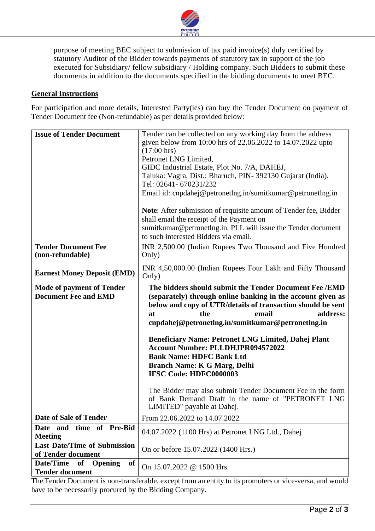

purpose of meeting BEC subject to submission of tax paid invoice(s) duly certified by statutory Auditor of the Bidder towards payments of statutory tax in support of the job executed for Subsidiary/ fellow subsidiary / Holding company. Such Bidders to submit these documents in addition to the documents specified in the bidding documents to meet BEC.

### **General Instructions**

For participation and more details, Interested Party(ies) can buy the Tender Document on payment of Tender Document fee (Non-refundable) as per details provided below:

| <b>Issue of Tender Document</b>                                         | Tender can be collected on any working day from the address<br>given below from 10:00 hrs of 22.06.2022 to 14.07.2022 upto<br>$(17:00 \text{ hrs})$<br>Petronet LNG Limited,<br>GIDC Industrial Estate, Plot No. 7/A, DAHEJ,<br>Taluka: Vagra, Dist.: Bharuch, PIN- 392130 Gujarat (India).<br>Tel: 02641- 670231/232<br>Email id: cnpdahej@petronetlng.in/sumitkumar@petronetlng.in<br>Note: After submission of requisite amount of Tender fee, Bidder<br>shall email the receipt of the Payment on<br>sumitkumar@petronetlng.in. PLL will issue the Tender document<br>to such interested Bidders via email. |
|-------------------------------------------------------------------------|-----------------------------------------------------------------------------------------------------------------------------------------------------------------------------------------------------------------------------------------------------------------------------------------------------------------------------------------------------------------------------------------------------------------------------------------------------------------------------------------------------------------------------------------------------------------------------------------------------------------|
| <b>Tender Document Fee</b><br>(non-refundable)                          | INR 2,500.00 (Indian Rupees Two Thousand and Five Hundred<br>Only)                                                                                                                                                                                                                                                                                                                                                                                                                                                                                                                                              |
| <b>Earnest Money Deposit (EMD)</b>                                      | INR 4,50,000.00 (Indian Rupees Four Lakh and Fifty Thousand<br>Only)                                                                                                                                                                                                                                                                                                                                                                                                                                                                                                                                            |
| <b>Mode of payment of Tender</b><br><b>Document Fee and EMD</b>         | The bidders should submit the Tender Document Fee / EMD<br>(separately) through online banking in the account given as<br>below and copy of UTR/details of transaction should be sent<br>address:<br>email<br>the<br>at<br>cnpdahej@petronetlng.in/sumitkumar@petronetlng.in<br><b>Beneficiary Name: Petronet LNG Limited, Dahej Plant</b><br><b>Account Number: PLLDHJPR094572022</b><br><b>Bank Name: HDFC Bank Ltd</b><br>Branch Name: K G Marg, Delhi<br><b>IFSC Code: HDFC0000003</b>                                                                                                                      |
|                                                                         | The Bidder may also submit Tender Document Fee in the form<br>of Bank Demand Draft in the name of "PETRONET LNG<br>LIMITED" payable at Dahej.                                                                                                                                                                                                                                                                                                                                                                                                                                                                   |
| <b>Date of Sale of Tender</b>                                           | From 22.06.2022 to 14.07.2022                                                                                                                                                                                                                                                                                                                                                                                                                                                                                                                                                                                   |
| time of Pre-Bid<br><b>Date</b><br>and<br><b>Meeting</b>                 | 04.07.2022 (1100 Hrs) at Petronet LNG Ltd., Dahej                                                                                                                                                                                                                                                                                                                                                                                                                                                                                                                                                               |
| <b>Last Date/Time of Submission</b><br>of Tender document<br>of Opening | On or before 15.07.2022 (1400 Hrs.)                                                                                                                                                                                                                                                                                                                                                                                                                                                                                                                                                                             |

The Tender Document is non-transferable, except from an entity to its promoters or vice-versa, and would have to be necessarily procured by the Bidding Company.